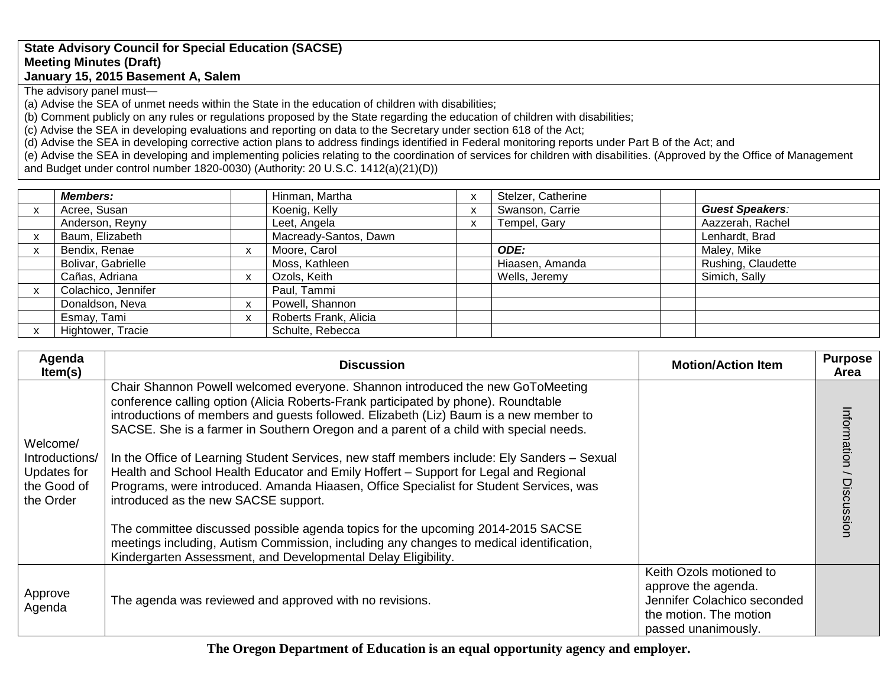## **State Advisory Council for Special Education (SACSE) Meeting Minutes (Draft) January 15, 2015 Basement A, Salem**

The advisory panel must—

(a) Advise the SEA of unmet needs within the State in the education of children with disabilities;

(b) Comment publicly on any rules or regulations proposed by the State regarding the education of children with disabilities;

(c) Advise the SEA in developing evaluations and reporting on data to the Secretary under section 618 of the Act;

(d) Advise the SEA in developing corrective action plans to address findings identified in Federal monitoring reports under Part B of the Act; and

(e) Advise the SEA in developing and implementing policies relating to the coordination of services for children with disabilities. (Approved by the Office of Management and Budget under control number 1820-0030) (Authority: 20 U.S.C. 1412(a)(21)(D))

| <b>Members:</b>     |    | Hinman, Martha        |   | Stelzer, Catherine |                        |
|---------------------|----|-----------------------|---|--------------------|------------------------|
| Acree, Susan        |    | Koenig, Kelly         | X | Swanson, Carrie    | <b>Guest Speakers:</b> |
| Anderson, Reyny     |    | Leet, Angela          |   | Tempel, Gary       | Aazzerah, Rachel       |
| Baum, Elizabeth     |    | Macready-Santos, Dawn |   |                    | Lenhardt, Brad         |
| Bendix, Renae       | X. | Moore, Carol          |   | ODE:               | Maley, Mike            |
| Bolivar, Gabrielle  |    | Moss, Kathleen        |   | Hiaasen, Amanda    | Rushing, Claudette     |
| Cañas, Adriana      | x  | Ozols, Keith          |   | Wells, Jeremy      | Simich, Sally          |
| Colachico, Jennifer |    | Paul, Tammi           |   |                    |                        |
| Donaldson, Neva     | X  | Powell, Shannon       |   |                    |                        |
| Esmay, Tami         | x  | Roberts Frank, Alicia |   |                    |                        |
| Hightower, Tracie   |    | Schulte, Rebecca      |   |                    |                        |

| Agenda<br>Item(s)                                                     | <b>Discussion</b>                                                                                                                                                                                                                                                                                                                                                                                                                                                                                                                                                                                                                                                                                                                                                                                                                                                                                                              | <b>Motion/Action Item</b>                                                                                                      | <b>Purpose</b><br>Area   |
|-----------------------------------------------------------------------|--------------------------------------------------------------------------------------------------------------------------------------------------------------------------------------------------------------------------------------------------------------------------------------------------------------------------------------------------------------------------------------------------------------------------------------------------------------------------------------------------------------------------------------------------------------------------------------------------------------------------------------------------------------------------------------------------------------------------------------------------------------------------------------------------------------------------------------------------------------------------------------------------------------------------------|--------------------------------------------------------------------------------------------------------------------------------|--------------------------|
| Welcome/<br>Introductions/<br>Updates for<br>the Good of<br>the Order | Chair Shannon Powell welcomed everyone. Shannon introduced the new GoToMeeting<br>conference calling option (Alicia Roberts-Frank participated by phone). Roundtable<br>introductions of members and guests followed. Elizabeth (Liz) Baum is a new member to<br>SACSE. She is a farmer in Southern Oregon and a parent of a child with special needs.<br>In the Office of Learning Student Services, new staff members include: Ely Sanders - Sexual<br>Health and School Health Educator and Emily Hoffert - Support for Legal and Regional<br>Programs, were introduced. Amanda Hiaasen, Office Specialist for Student Services, was<br>introduced as the new SACSE support.<br>The committee discussed possible agenda topics for the upcoming 2014-2015 SACSE<br>meetings including, Autism Commission, including any changes to medical identification,<br>Kindergarten Assessment, and Developmental Delay Eligibility. |                                                                                                                                | Information / Discussion |
| Approve<br>Agenda                                                     | The agenda was reviewed and approved with no revisions.                                                                                                                                                                                                                                                                                                                                                                                                                                                                                                                                                                                                                                                                                                                                                                                                                                                                        | Keith Ozols motioned to<br>approve the agenda.<br>Jennifer Colachico seconded<br>the motion. The motion<br>passed unanimously. |                          |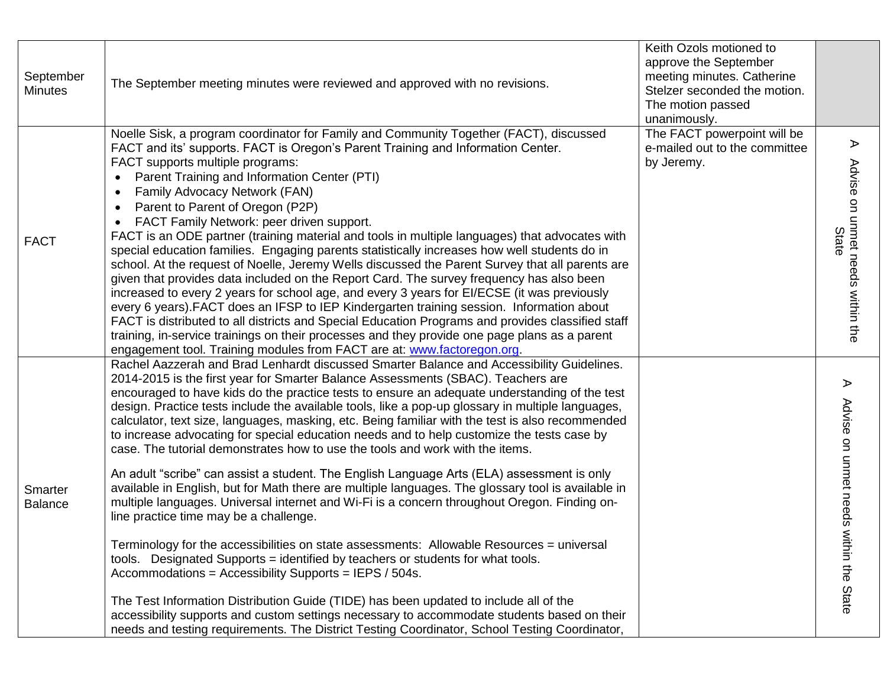| September<br><b>Minutes</b> | The September meeting minutes were reviewed and approved with no revisions.                                                                                                                                                                                                                                                                                                                                                                                                                                                                                                                                                                                                                                                                                                                                                                                                                                                                                                                                                                                                                                                                                                                                                                                                                                                                                                                                                                                                                                                                             | Keith Ozols motioned to<br>approve the September<br>meeting minutes. Catherine<br>Stelzer seconded the motion.<br>The motion passed<br>unanimously. |                                                                     |
|-----------------------------|---------------------------------------------------------------------------------------------------------------------------------------------------------------------------------------------------------------------------------------------------------------------------------------------------------------------------------------------------------------------------------------------------------------------------------------------------------------------------------------------------------------------------------------------------------------------------------------------------------------------------------------------------------------------------------------------------------------------------------------------------------------------------------------------------------------------------------------------------------------------------------------------------------------------------------------------------------------------------------------------------------------------------------------------------------------------------------------------------------------------------------------------------------------------------------------------------------------------------------------------------------------------------------------------------------------------------------------------------------------------------------------------------------------------------------------------------------------------------------------------------------------------------------------------------------|-----------------------------------------------------------------------------------------------------------------------------------------------------|---------------------------------------------------------------------|
| <b>FACT</b>                 | Noelle Sisk, a program coordinator for Family and Community Together (FACT), discussed<br>FACT and its' supports. FACT is Oregon's Parent Training and Information Center.<br>FACT supports multiple programs:<br>Parent Training and Information Center (PTI)<br>$\bullet$<br>Family Advocacy Network (FAN)<br>$\bullet$<br>Parent to Parent of Oregon (P2P)<br>$\bullet$<br>FACT Family Network: peer driven support.<br>FACT is an ODE partner (training material and tools in multiple languages) that advocates with<br>special education families. Engaging parents statistically increases how well students do in<br>school. At the request of Noelle, Jeremy Wells discussed the Parent Survey that all parents are<br>given that provides data included on the Report Card. The survey frequency has also been<br>increased to every 2 years for school age, and every 3 years for EI/ECSE (it was previously<br>every 6 years). FACT does an IFSP to IEP Kindergarten training session. Information about<br>FACT is distributed to all districts and Special Education Programs and provides classified staff<br>training, in-service trainings on their processes and they provide one page plans as a parent<br>engagement tool. Training modules from FACT are at: www.factoregon.org.                                                                                                                                                                                                                                                   | The FACT powerpoint will be<br>e-mailed out to the committee<br>by Jeremy.                                                                          | ⋗<br>Advise on unmet needs within the<br>State                      |
| Smarter<br>Balance          | Rachel Aazzerah and Brad Lenhardt discussed Smarter Balance and Accessibility Guidelines.<br>2014-2015 is the first year for Smarter Balance Assessments (SBAC). Teachers are<br>encouraged to have kids do the practice tests to ensure an adequate understanding of the test<br>design. Practice tests include the available tools, like a pop-up glossary in multiple languages,<br>calculator, text size, languages, masking, etc. Being familiar with the test is also recommended<br>to increase advocating for special education needs and to help customize the tests case by<br>case. The tutorial demonstrates how to use the tools and work with the items.<br>An adult "scribe" can assist a student. The English Language Arts (ELA) assessment is only<br>available in English, but for Math there are multiple languages. The glossary tool is available in<br>multiple languages. Universal internet and Wi-Fi is a concern throughout Oregon. Finding on-<br>line practice time may be a challenge.<br>Terminology for the accessibilities on state assessments: Allowable Resources = universal<br>tools. Designated Supports = identified by teachers or students for what tools.<br>Accommodations = Accessibility Supports = IEPS / 504s.<br>The Test Information Distribution Guide (TIDE) has been updated to include all of the<br>accessibility supports and custom settings necessary to accommodate students based on their<br>needs and testing requirements. The District Testing Coordinator, School Testing Coordinator, |                                                                                                                                                     | $\blacktriangleright$<br>Advise on unmet needs wit<br>hin the State |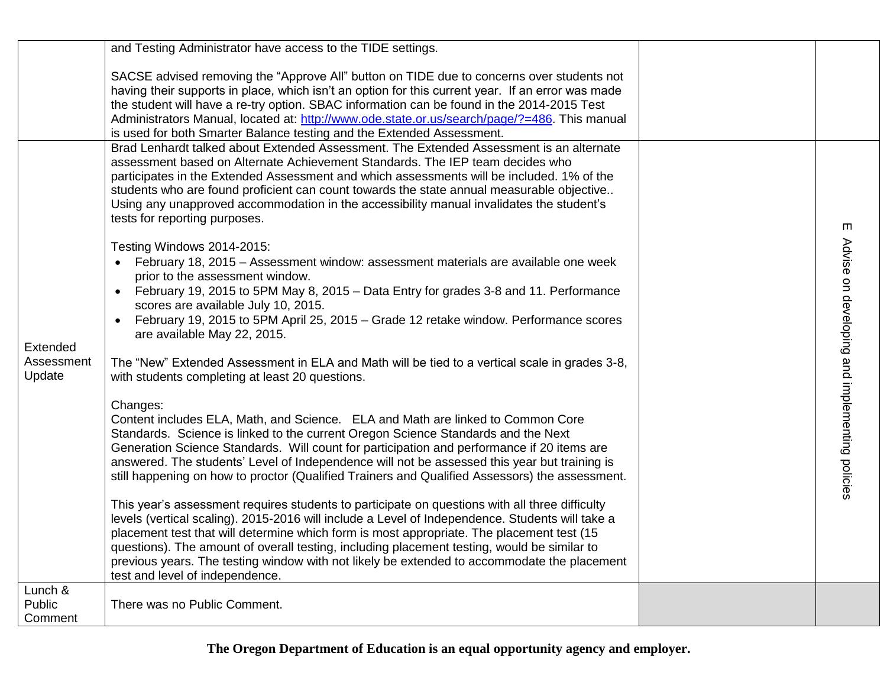|                                  | and Testing Administrator have access to the TIDE settings.                                                                                                                                                                                                                                                                                                                                                                                                                                                                                                                                                                                                                                                                                                                                                                                                                                                                                                                                                                                                                                                                                                                                                                                                                                                                                                                                                                                                                                                                                                                                                                                                                                                                                                                                                                                                                                                                                                                                                                                                                               |                                                     |
|----------------------------------|-------------------------------------------------------------------------------------------------------------------------------------------------------------------------------------------------------------------------------------------------------------------------------------------------------------------------------------------------------------------------------------------------------------------------------------------------------------------------------------------------------------------------------------------------------------------------------------------------------------------------------------------------------------------------------------------------------------------------------------------------------------------------------------------------------------------------------------------------------------------------------------------------------------------------------------------------------------------------------------------------------------------------------------------------------------------------------------------------------------------------------------------------------------------------------------------------------------------------------------------------------------------------------------------------------------------------------------------------------------------------------------------------------------------------------------------------------------------------------------------------------------------------------------------------------------------------------------------------------------------------------------------------------------------------------------------------------------------------------------------------------------------------------------------------------------------------------------------------------------------------------------------------------------------------------------------------------------------------------------------------------------------------------------------------------------------------------------------|-----------------------------------------------------|
|                                  | SACSE advised removing the "Approve All" button on TIDE due to concerns over students not<br>having their supports in place, which isn't an option for this current year. If an error was made<br>the student will have a re-try option. SBAC information can be found in the 2014-2015 Test<br>Administrators Manual, located at: http://www.ode.state.or.us/search/page/?=486. This manual<br>is used for both Smarter Balance testing and the Extended Assessment.                                                                                                                                                                                                                                                                                                                                                                                                                                                                                                                                                                                                                                                                                                                                                                                                                                                                                                                                                                                                                                                                                                                                                                                                                                                                                                                                                                                                                                                                                                                                                                                                                     |                                                     |
| Extended<br>Assessment<br>Update | Brad Lenhardt talked about Extended Assessment. The Extended Assessment is an alternate<br>assessment based on Alternate Achievement Standards. The IEP team decides who<br>participates in the Extended Assessment and which assessments will be included. 1% of the<br>students who are found proficient can count towards the state annual measurable objective<br>Using any unapproved accommodation in the accessibility manual invalidates the student's<br>tests for reporting purposes.<br>Testing Windows 2014-2015:<br>• February 18, 2015 - Assessment window: assessment materials are available one week<br>prior to the assessment window.<br>February 19, 2015 to 5PM May 8, 2015 - Data Entry for grades 3-8 and 11. Performance<br>scores are available July 10, 2015.<br>February 19, 2015 to 5PM April 25, 2015 – Grade 12 retake window. Performance scores<br>are available May 22, 2015.<br>The "New" Extended Assessment in ELA and Math will be tied to a vertical scale in grades 3-8,<br>with students completing at least 20 questions.<br>Changes:<br>Content includes ELA, Math, and Science. ELA and Math are linked to Common Core<br>Standards. Science is linked to the current Oregon Science Standards and the Next<br>Generation Science Standards. Will count for participation and performance if 20 items are<br>answered. The students' Level of Independence will not be assessed this year but training is<br>still happening on how to proctor (Qualified Trainers and Qualified Assessors) the assessment.<br>This year's assessment requires students to participate on questions with all three difficulty<br>levels (vertical scaling). 2015-2016 will include a Level of Independence. Students will take a<br>placement test that will determine which form is most appropriate. The placement test (15<br>questions). The amount of overall testing, including placement testing, would be similar to<br>previous years. The testing window with not likely be extended to accommodate the placement<br>test and level of independence. | m<br>Advise on developing and implementing policies |
| Lunch &<br>Public<br>Comment     | There was no Public Comment.                                                                                                                                                                                                                                                                                                                                                                                                                                                                                                                                                                                                                                                                                                                                                                                                                                                                                                                                                                                                                                                                                                                                                                                                                                                                                                                                                                                                                                                                                                                                                                                                                                                                                                                                                                                                                                                                                                                                                                                                                                                              |                                                     |

**The Oregon Department of Education is an equal opportunity agency and employer.**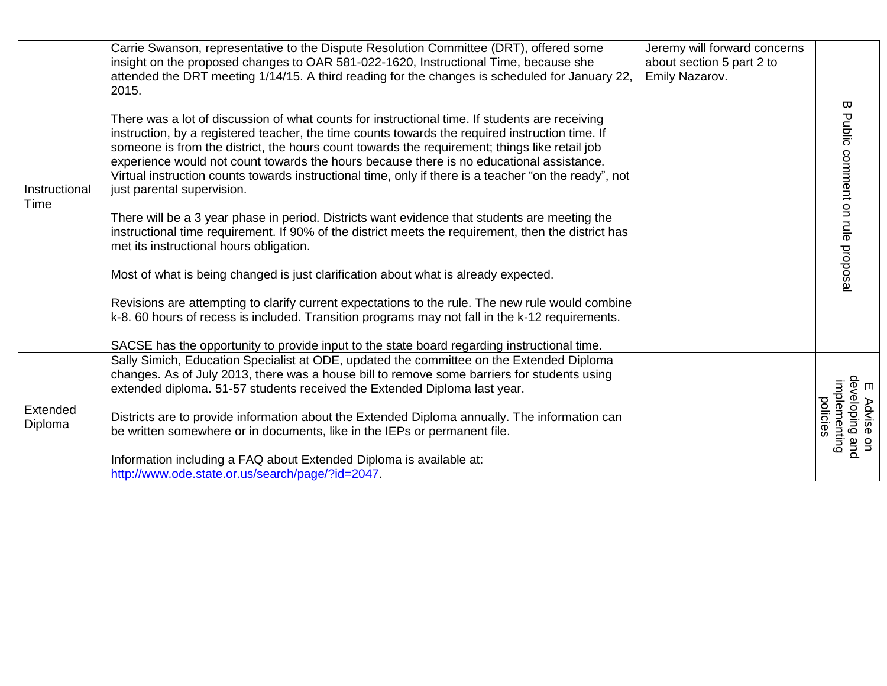| Instructional<br>Time | Carrie Swanson, representative to the Dispute Resolution Committee (DRT), offered some<br>insight on the proposed changes to OAR 581-022-1620, Instructional Time, because she<br>attended the DRT meeting 1/14/15. A third reading for the changes is scheduled for January 22,<br>2015.                                                                                                                                                                                                                                             | Jeremy will forward concerns<br>about section 5 part 2 to<br>Emily Nazarov. | Ε                                                         |
|-----------------------|---------------------------------------------------------------------------------------------------------------------------------------------------------------------------------------------------------------------------------------------------------------------------------------------------------------------------------------------------------------------------------------------------------------------------------------------------------------------------------------------------------------------------------------|-----------------------------------------------------------------------------|-----------------------------------------------------------|
|                       | There was a lot of discussion of what counts for instructional time. If students are receiving<br>instruction, by a registered teacher, the time counts towards the required instruction time. If<br>someone is from the district, the hours count towards the requirement; things like retail job<br>experience would not count towards the hours because there is no educational assistance.<br>Virtual instruction counts towards instructional time, only if there is a teacher "on the ready", not<br>just parental supervision. |                                                                             | Public comment on rule proposal                           |
|                       | There will be a 3 year phase in period. Districts want evidence that students are meeting the<br>instructional time requirement. If 90% of the district meets the requirement, then the district has<br>met its instructional hours obligation.                                                                                                                                                                                                                                                                                       |                                                                             |                                                           |
|                       | Most of what is being changed is just clarification about what is already expected.                                                                                                                                                                                                                                                                                                                                                                                                                                                   |                                                                             |                                                           |
|                       | Revisions are attempting to clarify current expectations to the rule. The new rule would combine<br>k-8. 60 hours of recess is included. Transition programs may not fall in the k-12 requirements.                                                                                                                                                                                                                                                                                                                                   |                                                                             |                                                           |
|                       | SACSE has the opportunity to provide input to the state board regarding instructional time.                                                                                                                                                                                                                                                                                                                                                                                                                                           |                                                                             |                                                           |
| Extended<br>Diploma   | Sally Simich, Education Specialist at ODE, updated the committee on the Extended Diploma<br>changes. As of July 2013, there was a house bill to remove some barriers for students using<br>extended diploma. 51-57 students received the Extended Diploma last year.                                                                                                                                                                                                                                                                  |                                                                             |                                                           |
|                       | Districts are to provide information about the Extended Diploma annually. The information can<br>be written somewhere or in documents, like in the IEPs or permanent file.                                                                                                                                                                                                                                                                                                                                                            |                                                                             | E Advise on<br>developing and<br>implementing<br>policies |
|                       | Information including a FAQ about Extended Diploma is available at:<br>http://www.ode.state.or.us/search/page/?id=2047.                                                                                                                                                                                                                                                                                                                                                                                                               |                                                                             |                                                           |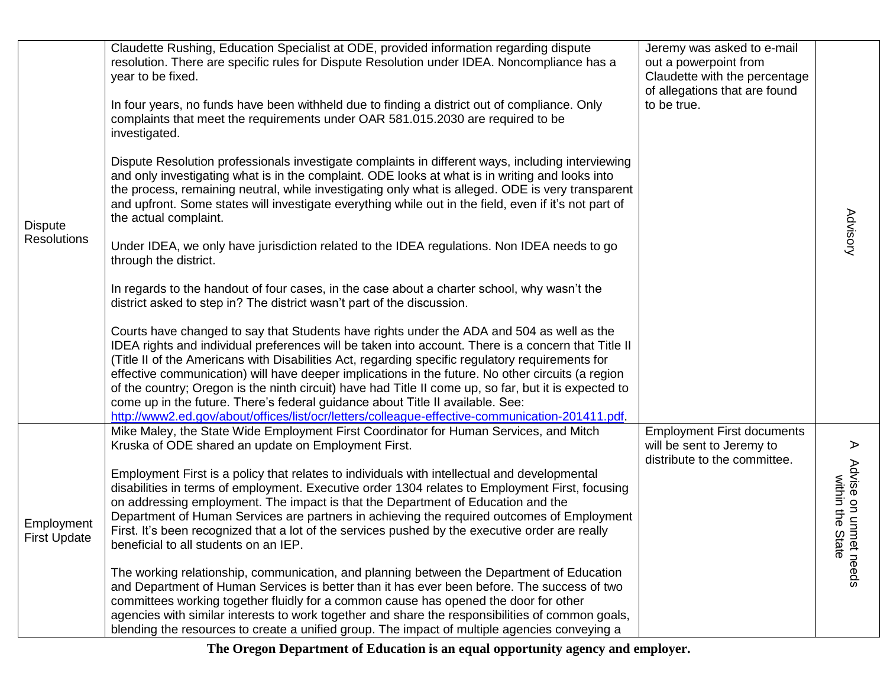| <b>Dispute</b>                    | Claudette Rushing, Education Specialist at ODE, provided information regarding dispute<br>resolution. There are specific rules for Dispute Resolution under IDEA. Noncompliance has a<br>year to be fixed.<br>In four years, no funds have been withheld due to finding a district out of compliance. Only<br>complaints that meet the requirements under OAR 581.015.2030 are required to be<br>investigated.                                                                                                                                                                                                                                                                                          | Jeremy was asked to e-mail<br>out a powerpoint from<br>Claudette with the percentage<br>of allegations that are found<br>to be true. |                                           |
|-----------------------------------|---------------------------------------------------------------------------------------------------------------------------------------------------------------------------------------------------------------------------------------------------------------------------------------------------------------------------------------------------------------------------------------------------------------------------------------------------------------------------------------------------------------------------------------------------------------------------------------------------------------------------------------------------------------------------------------------------------|--------------------------------------------------------------------------------------------------------------------------------------|-------------------------------------------|
|                                   | Dispute Resolution professionals investigate complaints in different ways, including interviewing<br>and only investigating what is in the complaint. ODE looks at what is in writing and looks into<br>the process, remaining neutral, while investigating only what is alleged. ODE is very transparent<br>and upfront. Some states will investigate everything while out in the field, even if it's not part of<br>the actual complaint.                                                                                                                                                                                                                                                             |                                                                                                                                      | <b>Advisory</b>                           |
| <b>Resolutions</b>                | Under IDEA, we only have jurisdiction related to the IDEA regulations. Non IDEA needs to go<br>through the district.                                                                                                                                                                                                                                                                                                                                                                                                                                                                                                                                                                                    |                                                                                                                                      |                                           |
|                                   | In regards to the handout of four cases, in the case about a charter school, why wasn't the<br>district asked to step in? The district wasn't part of the discussion.                                                                                                                                                                                                                                                                                                                                                                                                                                                                                                                                   |                                                                                                                                      |                                           |
|                                   | Courts have changed to say that Students have rights under the ADA and 504 as well as the<br>IDEA rights and individual preferences will be taken into account. There is a concern that Title II<br>(Title II of the Americans with Disabilities Act, regarding specific regulatory requirements for<br>effective communication) will have deeper implications in the future. No other circuits (a region<br>of the country; Oregon is the ninth circuit) have had Title II come up, so far, but it is expected to<br>come up in the future. There's federal guidance about Title II available. See:<br>http://www2.ed.gov/about/offices/list/ocr/letters/colleague-effective-communication-201411.pdf. |                                                                                                                                      |                                           |
|                                   | Mike Maley, the State Wide Employment First Coordinator for Human Services, and Mitch<br>Kruska of ODE shared an update on Employment First.                                                                                                                                                                                                                                                                                                                                                                                                                                                                                                                                                            | <b>Employment First documents</b><br>will be sent to Jeremy to<br>distribute to the committee.                                       | $\blacktriangleright$                     |
| Employment<br><b>First Update</b> | Employment First is a policy that relates to individuals with intellectual and developmental<br>disabilities in terms of employment. Executive order 1304 relates to Employment First, focusing<br>on addressing employment. The impact is that the Department of Education and the<br>Department of Human Services are partners in achieving the required outcomes of Employment<br>First. It's been recognized that a lot of the services pushed by the executive order are really<br>beneficial to all students on an IEP.                                                                                                                                                                           |                                                                                                                                      | Advise on unm<br>tate<br>ቧ $\overline{a}$ |
|                                   | The working relationship, communication, and planning between the Department of Education<br>and Department of Human Services is better than it has ever been before. The success of two<br>committees working together fluidly for a common cause has opened the door for other<br>agencies with similar interests to work together and share the responsibilities of common goals,<br>blending the resources to create a unified group. The impact of multiple agencies conveying a                                                                                                                                                                                                                   |                                                                                                                                      | needs                                     |

**The Oregon Department of Education is an equal opportunity agency and employer.**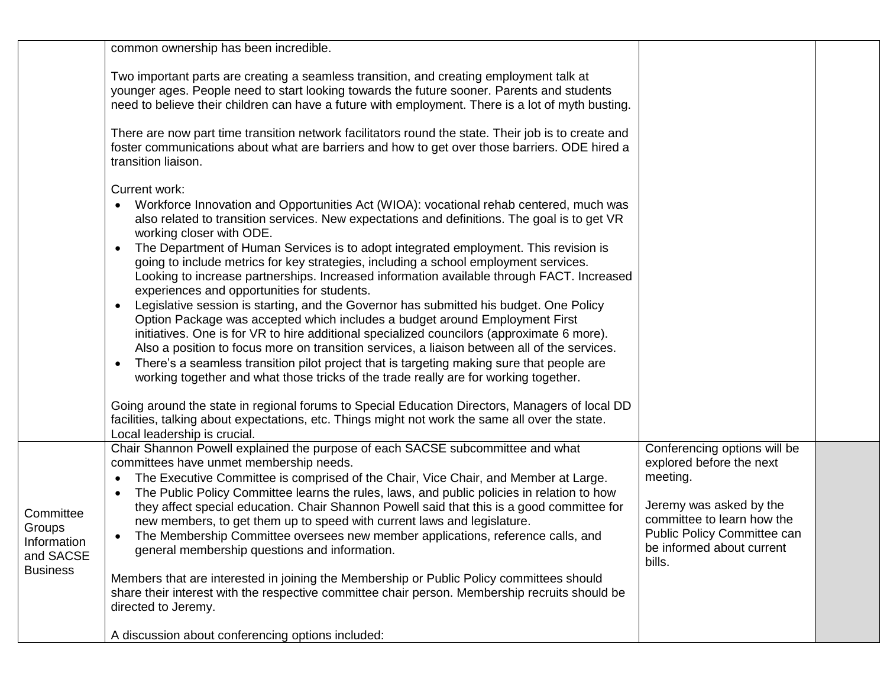|                                                                    | common ownership has been incredible.                                                                                                                                                                                                                                                                                                                                                                                                                                                                                                                                                                                                                                                                                                                                                                                                                                                                                                                                                                                                                                                                                                                                           |                                                                                                                                                                                                     |  |
|--------------------------------------------------------------------|---------------------------------------------------------------------------------------------------------------------------------------------------------------------------------------------------------------------------------------------------------------------------------------------------------------------------------------------------------------------------------------------------------------------------------------------------------------------------------------------------------------------------------------------------------------------------------------------------------------------------------------------------------------------------------------------------------------------------------------------------------------------------------------------------------------------------------------------------------------------------------------------------------------------------------------------------------------------------------------------------------------------------------------------------------------------------------------------------------------------------------------------------------------------------------|-----------------------------------------------------------------------------------------------------------------------------------------------------------------------------------------------------|--|
|                                                                    | Two important parts are creating a seamless transition, and creating employment talk at<br>younger ages. People need to start looking towards the future sooner. Parents and students<br>need to believe their children can have a future with employment. There is a lot of myth busting.                                                                                                                                                                                                                                                                                                                                                                                                                                                                                                                                                                                                                                                                                                                                                                                                                                                                                      |                                                                                                                                                                                                     |  |
|                                                                    | There are now part time transition network facilitators round the state. Their job is to create and<br>foster communications about what are barriers and how to get over those barriers. ODE hired a<br>transition liaison.                                                                                                                                                                                                                                                                                                                                                                                                                                                                                                                                                                                                                                                                                                                                                                                                                                                                                                                                                     |                                                                                                                                                                                                     |  |
|                                                                    | Current work:<br>Workforce Innovation and Opportunities Act (WIOA): vocational rehab centered, much was<br>$\bullet$<br>also related to transition services. New expectations and definitions. The goal is to get VR<br>working closer with ODE.<br>The Department of Human Services is to adopt integrated employment. This revision is<br>$\bullet$<br>going to include metrics for key strategies, including a school employment services.<br>Looking to increase partnerships. Increased information available through FACT. Increased<br>experiences and opportunities for students.<br>Legislative session is starting, and the Governor has submitted his budget. One Policy<br>$\bullet$<br>Option Package was accepted which includes a budget around Employment First<br>initiatives. One is for VR to hire additional specialized councilors (approximate 6 more).<br>Also a position to focus more on transition services, a liaison between all of the services.<br>There's a seamless transition pilot project that is targeting making sure that people are<br>$\bullet$<br>working together and what those tricks of the trade really are for working together. |                                                                                                                                                                                                     |  |
|                                                                    | Going around the state in regional forums to Special Education Directors, Managers of local DD<br>facilities, talking about expectations, etc. Things might not work the same all over the state.<br>Local leadership is crucial.                                                                                                                                                                                                                                                                                                                                                                                                                                                                                                                                                                                                                                                                                                                                                                                                                                                                                                                                               |                                                                                                                                                                                                     |  |
| Committee<br>Groups<br>Information<br>and SACSE<br><b>Business</b> | Chair Shannon Powell explained the purpose of each SACSE subcommittee and what<br>committees have unmet membership needs.<br>The Executive Committee is comprised of the Chair, Vice Chair, and Member at Large.<br>The Public Policy Committee learns the rules, laws, and public policies in relation to how<br>they affect special education. Chair Shannon Powell said that this is a good committee for<br>new members, to get them up to speed with current laws and legislature.<br>• The Membership Committee oversees new member applications, reference calls, and<br>general membership questions and information.<br>Members that are interested in joining the Membership or Public Policy committees should<br>share their interest with the respective committee chair person. Membership recruits should be<br>directed to Jeremy.<br>A discussion about conferencing options included:                                                                                                                                                                                                                                                                         | Conferencing options will be<br>explored before the next<br>meeting.<br>Jeremy was asked by the<br>committee to learn how the<br>Public Policy Committee can<br>be informed about current<br>bills. |  |
|                                                                    |                                                                                                                                                                                                                                                                                                                                                                                                                                                                                                                                                                                                                                                                                                                                                                                                                                                                                                                                                                                                                                                                                                                                                                                 |                                                                                                                                                                                                     |  |